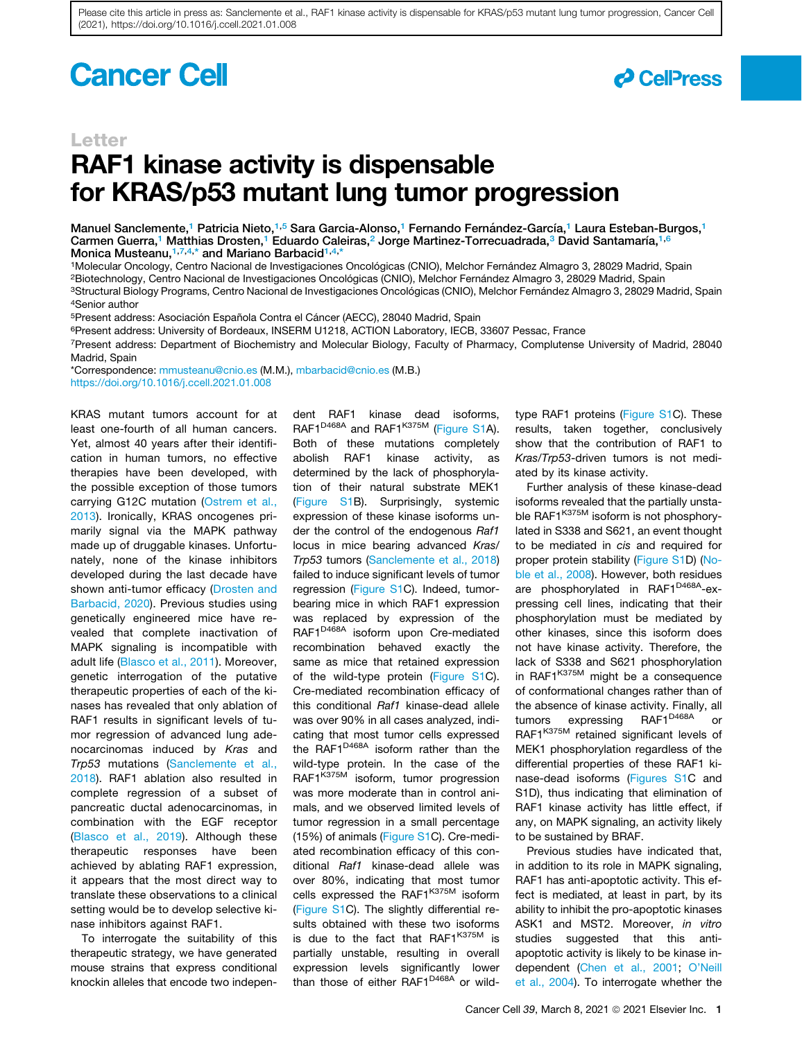Please cite this article in press as: Sanclemente et al., RAF1 kinase activity is dispensable for KRAS/p53 mutant lung tumor progression, Cancer Cell (2021), https://doi.org/10.1016/j.ccell.2021.01.008

# **Cancer Cell**



### Letter

# RAF1 kinase activity is dispensable for KRAS/p53 mutant lung tumor progression

Manuel Sanclemente,<sup>[1](#page-0-0)</sup> Patricia Nieto,<sup>1[,5](#page-0-1)</sup> Sara Garcia-Alonso,<sup>1</sup> Fernando Fernández-García,<sup>1</sup> Laura Esteban-Burgos,<sup>1</sup> Carmen Guerra,<sup>[1](#page-0-0)</sup> Matthias Drosten,<sup>1</sup> Eduardo Caleiras,<sup>[2](#page-0-2)</sup> Jorge Martinez-Torrecuadrada,<sup>[3](#page-0-3)</sup> David Santamaría,<sup>1[,6](#page-0-4)</sup> Monica Musteanu, [1](#page-0-0)[,7,](#page-0-5)[4](#page-0-6),\* and Mariano Barbacid<sup>[1,](#page-0-0)4,[\\*](#page-0-7)</sup>

<span id="page-0-0"></span>1Molecular Oncology, Centro Nacional de Investigaciones Oncológicas (CNIO), Melchor Fernández Almagro 3, 28029 Madrid, Spain

<span id="page-0-2"></span><sup>2</sup>Biotechnology, Centro Nacional de Investigaciones Oncológicas (CNIO), Melchor Fernández Almagro 3, 28029 Madrid, Spain

<span id="page-0-6"></span><span id="page-0-3"></span><sup>3</sup>Structural Biology Programs, Centro Nacional de Investigaciones Oncológicas (CNIO), Melchor Fernández Almagro 3, 28029 Madrid, Spain 4Senior author

<span id="page-0-1"></span><sup>5</sup>Present address: Asociación Española Contra el Cáncer (AECC), 28040 Madrid, Spain

<span id="page-0-4"></span><sup>6</sup>Present address: University of Bordeaux, INSERM U1218, ACTION Laboratory, IECB, 33607 Pessac, France

<span id="page-0-5"></span>7Present address: Department of Biochemistry and Molecular Biology, Faculty of Pharmacy, Complutense University of Madrid, 28040 Madrid, Spain

<span id="page-0-7"></span>\*Correspondence: [mmusteanu@cnio.es](mailto:mmusteanu@cnio.es) (M.M.), [mbarbacid@cnio.es](mailto:mbarbacid@cnio.es) (M.B.) <https://doi.org/10.1016/j.ccell.2021.01.008>

KRAS mutant tumors account for at least one-fourth of all human cancers. Yet, almost 40 years after their identification in human tumors, no effective therapies have been developed, with the possible exception of those tumors carrying G12C mutation ([Ostrem et al.,](#page-2-0) [2013](#page-2-0)). Ironically, KRAS oncogenes primarily signal via the MAPK pathway made up of druggable kinases. Unfortunately, none of the kinase inhibitors developed during the last decade have shown anti-tumor efficacy [\(Drosten and](#page-1-0) [Barbacid, 2020\)](#page-1-0). Previous studies using genetically engineered mice have revealed that complete inactivation of MAPK signaling is incompatible with adult life [\(Blasco et al., 2011](#page-1-1)). Moreover, genetic interrogation of the putative therapeutic properties of each of the kinases has revealed that only ablation of RAF1 results in significant levels of tumor regression of advanced lung adenocarcinomas induced by *Kras* and *Trp53* mutations ([Sanclemente et al.,](#page-2-1) [2018](#page-2-1)). RAF1 ablation also resulted in complete regression of a subset of pancreatic ductal adenocarcinomas, in combination with the EGF receptor [\(Blasco et al., 2019\)](#page-1-2). Although these therapeutic responses have been achieved by ablating RAF1 expression, it appears that the most direct way to translate these observations to a clinical setting would be to develop selective kinase inhibitors against RAF1.

To interrogate the suitability of this therapeutic strategy, we have generated mouse strains that express conditional knockin alleles that encode two independent RAF1 kinase dead isoforms, RAF1<sup>D468A</sup> and RAF1<sup>K375M</sup> (Figure S1A). Both of these mutations completely abolish RAF1 kinase activity, as determined by the lack of phosphorylation of their natural substrate MEK1 (Figure S1B). Surprisingly, systemic expression of these kinase isoforms under the control of the endogenous *Raf1* locus in mice bearing advanced *Kras/ Trp53* tumors ([Sanclemente et al., 2018\)](#page-2-1) failed to induce significant levels of tumor regression (Figure S1C). Indeed, tumorbearing mice in which RAF1 expression was replaced by expression of the RAF1<sup>D468A</sup> isoform upon Cre-mediated recombination behaved exactly the same as mice that retained expression of the wild-type protein (Figure S1C). Cre-mediated recombination efficacy of this conditional *Raf1* kinase-dead allele was over 90% in all cases analyzed, indicating that most tumor cells expressed the RAF1<sup>D468A</sup> isoform rather than the wild-type protein. In the case of the RAF1<sup>K375M</sup> isoform, tumor progression was more moderate than in control animals, and we observed limited levels of tumor regression in a small percentage (15%) of animals (Figure S1C). Cre-mediated recombination efficacy of this conditional *Raf1* kinase-dead allele was over 80%, indicating that most tumor cells expressed the RAF1<sup>K375M</sup> isoform (Figure S1C). The slightly differential results obtained with these two isoforms is due to the fact that  $RAF1^{K375M}$  is partially unstable, resulting in overall expression levels significantly lower than those of either RAF1<sup>D468A</sup> or wildtype RAF1 proteins (Figure S1C). These results, taken together, conclusively show that the contribution of RAF1 to *Kras/Trp53*-driven tumors is not mediated by its kinase activity.

Further analysis of these kinase-dead isoforms revealed that the partially unstable RAF1<sup>K375M</sup> isoform is not phosphorylated in S338 and S621, an event thought to be mediated in *cis* and required for proper protein stability (Figure S1D) [\(No](#page-2-2)[ble et al., 2008\)](#page-2-2). However, both residues are phosphorylated in RAF1<sup>D468A</sup>-expressing cell lines, indicating that their phosphorylation must be mediated by other kinases, since this isoform does not have kinase activity. Therefore, the lack of S338 and S621 phosphorylation in RAF1<sup>K375M</sup> might be a consequence of conformational changes rather than of the absence of kinase activity. Finally, all tumors expressing RAF1<sup>D468A</sup> or RAF1K375M retained significant levels of MEK1 phosphorylation regardless of the differential properties of these RAF1 kinase-dead isoforms (Figures S1C and S1D), thus indicating that elimination of RAF1 kinase activity has little effect, if any, on MAPK signaling, an activity likely to be sustained by BRAF.

Previous studies have indicated that, in addition to its role in MAPK signaling, RAF1 has anti-apoptotic activity. This effect is mediated, at least in part, by its ability to inhibit the pro-apoptotic kinases ASK1 and MST2. Moreover, *in vitro* studies suggested that this antiapoptotic activity is likely to be kinase independent [\(Chen et al., 2001](#page-1-3); [O'Neill](#page-2-3) [et al., 2004\)](#page-2-3). To interrogate whether the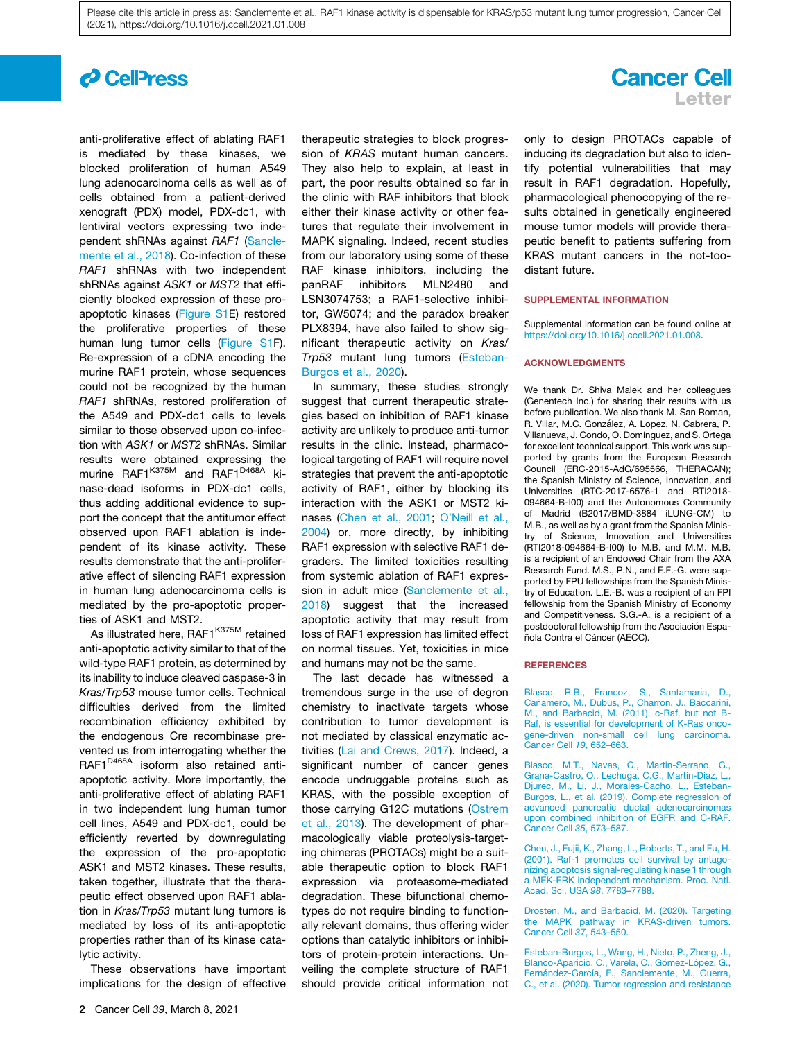Please cite this article in press as: Sanclemente et al., RAF1 kinase activity is dispensable for KRAS/p53 mutant lung tumor progression, Cancer Cell (2021), https://doi.org/10.1016/j.ccell.2021.01.008

# *c* CellPress

anti-proliferative effect of ablating RAF1 is mediated by these kinases, we blocked proliferation of human A549 lung adenocarcinoma cells as well as of cells obtained from a patient-derived xenograft (PDX) model, PDX-dc1, with lentiviral vectors expressing two independent shRNAs against *RAF1* [\(Sancle](#page-2-1)[mente et al., 2018](#page-2-1)). Co-infection of these *RAF1* shRNAs with two independent shRNAs against *ASK1* or *MST2* that efficiently blocked expression of these proapoptotic kinases (Figure S1E) restored the proliferative properties of these human lung tumor cells (Figure S1F). Re-expression of a cDNA encoding the murine RAF1 protein, whose sequences could not be recognized by the human *RAF1* shRNAs, restored proliferation of the A549 and PDX-dc1 cells to levels similar to those observed upon co-infection with *ASK1* or *MST2* shRNAs. Similar results were obtained expressing the murine RAF1<sup>K375M</sup> and RAF1<sup>D468A</sup> kinase-dead isoforms in PDX-dc1 cells, thus adding additional evidence to support the concept that the antitumor effect observed upon RAF1 ablation is independent of its kinase activity. These results demonstrate that the anti-proliferative effect of silencing RAF1 expression in human lung adenocarcinoma cells is mediated by the pro-apoptotic properties of ASK1 and MST2.

As illustrated here, RAF1<sup>K375M</sup> retained anti-apoptotic activity similar to that of the wild-type RAF1 protein, as determined by its inability to induce cleaved caspase-3 in *Kras/Trp53* mouse tumor cells. Technical difficulties derived from the limited recombination efficiency exhibited by the endogenous Cre recombinase prevented us from interrogating whether the RAF1<sup>D468A</sup> isoform also retained antiapoptotic activity. More importantly, the anti-proliferative effect of ablating RAF1 in two independent lung human tumor cell lines, A549 and PDX-dc1, could be efficiently reverted by downregulating the expression of the pro-apoptotic ASK1 and MST2 kinases. These results, taken together, illustrate that the therapeutic effect observed upon RAF1 ablation in *Kras/Trp53* mutant lung tumors is mediated by loss of its anti-apoptotic properties rather than of its kinase catalytic activity.

These observations have important implications for the design of effective

therapeutic strategies to block progression of *KRAS* mutant human cancers. They also help to explain, at least in part, the poor results obtained so far in the clinic with RAF inhibitors that block either their kinase activity or other features that regulate their involvement in MAPK signaling. Indeed, recent studies from our laboratory using some of these RAF kinase inhibitors, including the panRAF inhibitors MLN2480 and LSN3074753; a RAF1-selective inhibitor, GW5074; and the paradox breaker PLX8394, have also failed to show significant therapeutic activity on *Kras/ Trp53* mutant lung tumors ([Esteban-](#page-1-4)[Burgos et al., 2020\)](#page-1-4).

In summary, these studies strongly suggest that current therapeutic strategies based on inhibition of RAF1 kinase activity are unlikely to produce anti-tumor results in the clinic. Instead, pharmacological targeting of RAF1 will require novel strategies that prevent the anti-apoptotic activity of RAF1, either by blocking its interaction with the ASK1 or MST2 kinases ([Chen et al., 2001;](#page-1-3) [O'Neill et al.,](#page-2-3) [2004\)](#page-2-3) or, more directly, by inhibiting RAF1 expression with selective RAF1 degraders. The limited toxicities resulting from systemic ablation of RAF1 expression in adult mice ([Sanclemente et al.,](#page-2-1) [2018\)](#page-2-1) suggest that the increased apoptotic activity that may result from loss of RAF1 expression has limited effect on normal tissues. Yet, toxicities in mice and humans may not be the same.

The last decade has witnessed a tremendous surge in the use of degron chemistry to inactivate targets whose contribution to tumor development is not mediated by classical enzymatic activities ([Lai and Crews, 2017\)](#page-2-4). Indeed, a significant number of cancer genes encode undruggable proteins such as KRAS, with the possible exception of those carrying G12C mutations ([Ostrem](#page-2-0) [et al., 2013\)](#page-2-0). The development of pharmacologically viable proteolysis-targeting chimeras (PROTACs) might be a suitable therapeutic option to block RAF1 expression via proteasome-mediated degradation. These bifunctional chemotypes do not require binding to functionally relevant domains, thus offering wider options than catalytic inhibitors or inhibitors of protein-protein interactions. Unveiling the complete structure of RAF1 should provide critical information not

## **Cancer Cell** Letter

only to design PROTACs capable of inducing its degradation but also to identify potential vulnerabilities that may result in RAF1 degradation. Hopefully, pharmacological phenocopying of the results obtained in genetically engineered mouse tumor models will provide therapeutic benefit to patients suffering from KRAS mutant cancers in the not-toodistant future.

#### SUPPLEMENTAL INFORMATION

Supplemental information can be found online at <https://doi.org/10.1016/j.ccell.2021.01.008>.

#### ACKNOWLEDGMENTS

We thank Dr. Shiva Malek and her colleagues (Genentech Inc.) for sharing their results with us before publication. We also thank M. San Roman, R. Villar, M.C. González, A. Lopez, N. Cabrera, P. Villanueva, J. Condo, O. Domínguez, and S. Ortega for excellent technical support. This work was supported by grants from the European Research Council (ERC-2015-AdG/695566, THERACAN); the Spanish Ministry of Science, Innovation, and Universities (RTC-2017-6576-1 and RTI2018- 094664-B-I00) and the Autonomous Community of Madrid (B2017/BMD-3884 iLUNG-CM) to M.B., as well as by a grant from the Spanish Ministry of Science, Innovation and Universities (RTI2018-094664-B-I00) to M.B. and M.M. M.B. is a recipient of an Endowed Chair from the AXA Research Fund. M.S., P.N., and F.F.-G. were supported by FPU fellowships from the Spanish Ministry of Education. L.E.-B. was a recipient of an FPI fellowship from the Spanish Ministry of Economy and Competitiveness. S.G.-A. is a recipient of a postdoctoral fellowship from the Asociación Española Contra el Cáncer (AECC).

#### **REFERENCES**

<span id="page-1-1"></span>Blasco, R.B., Francoz, S., Santamaría, D., Cañ[amero, M., Dubus, P., Charron, J., Baccarini,](http://refhub.elsevier.com/S1535-6108(21)00052-0/sref1) [M., and Barbacid, M. \(2011\). c-Raf, but not B-](http://refhub.elsevier.com/S1535-6108(21)00052-0/sref1)[Raf, is essential for development of K-Ras onco](http://refhub.elsevier.com/S1535-6108(21)00052-0/sref1)[gene-driven non-small cell lung carcinoma.](http://refhub.elsevier.com/S1535-6108(21)00052-0/sref1) [Cancer Cell](http://refhub.elsevier.com/S1535-6108(21)00052-0/sref1) *19*, 652–663.

<span id="page-1-2"></span>[Blasco, M.T., Navas, C., Martin-Serrano, G.,](http://refhub.elsevier.com/S1535-6108(21)00052-0/sref2) [Grana-Castro, O., Lechuga, C.G., Martin-Diaz, L.,](http://refhub.elsevier.com/S1535-6108(21)00052-0/sref2) [Djurec, M., Li, J., Morales-Cacho, L., Esteban-](http://refhub.elsevier.com/S1535-6108(21)00052-0/sref2)[Burgos, L., et al. \(2019\). Complete regression of](http://refhub.elsevier.com/S1535-6108(21)00052-0/sref2) [advanced pancreatic ductal adenocarcinomas](http://refhub.elsevier.com/S1535-6108(21)00052-0/sref2) [upon combined inhibition of EGFR and C-RAF.](http://refhub.elsevier.com/S1535-6108(21)00052-0/sref2) [Cancer Cell](http://refhub.elsevier.com/S1535-6108(21)00052-0/sref2) *35*, 573–587.

<span id="page-1-3"></span>[Chen, J., Fujii, K., Zhang, L., Roberts, T., and Fu, H.](http://refhub.elsevier.com/S1535-6108(21)00052-0/sref3) [\(2001\). Raf-1 promotes cell survival by antago](http://refhub.elsevier.com/S1535-6108(21)00052-0/sref3)[nizing apoptosis signal-regulating kinase 1 through](http://refhub.elsevier.com/S1535-6108(21)00052-0/sref3) [a MEK-ERK independent mechanism. Proc. Natl.](http://refhub.elsevier.com/S1535-6108(21)00052-0/sref3) [Acad. Sci. USA](http://refhub.elsevier.com/S1535-6108(21)00052-0/sref3) *98*, 7783–7788.

<span id="page-1-0"></span>[Drosten, M., and Barbacid, M. \(2020\). Targeting](http://refhub.elsevier.com/S1535-6108(21)00052-0/sref4) [the MAPK pathway in KRAS-driven tumors.](http://refhub.elsevier.com/S1535-6108(21)00052-0/sref4) [Cancer Cell](http://refhub.elsevier.com/S1535-6108(21)00052-0/sref4) *37*, 543–550.

<span id="page-1-4"></span>[Esteban-Burgos, L., Wang, H., Nieto, P., Zheng, J.,](http://refhub.elsevier.com/S1535-6108(21)00052-0/sref5) Blanco-Aparicio, C., Varela, C., Gómez-López, G., Fernández-García, [F., Sanclemente, M., Guerra,](http://refhub.elsevier.com/S1535-6108(21)00052-0/sref5) [C., et al. \(2020\). Tumor regression and resistance](http://refhub.elsevier.com/S1535-6108(21)00052-0/sref5)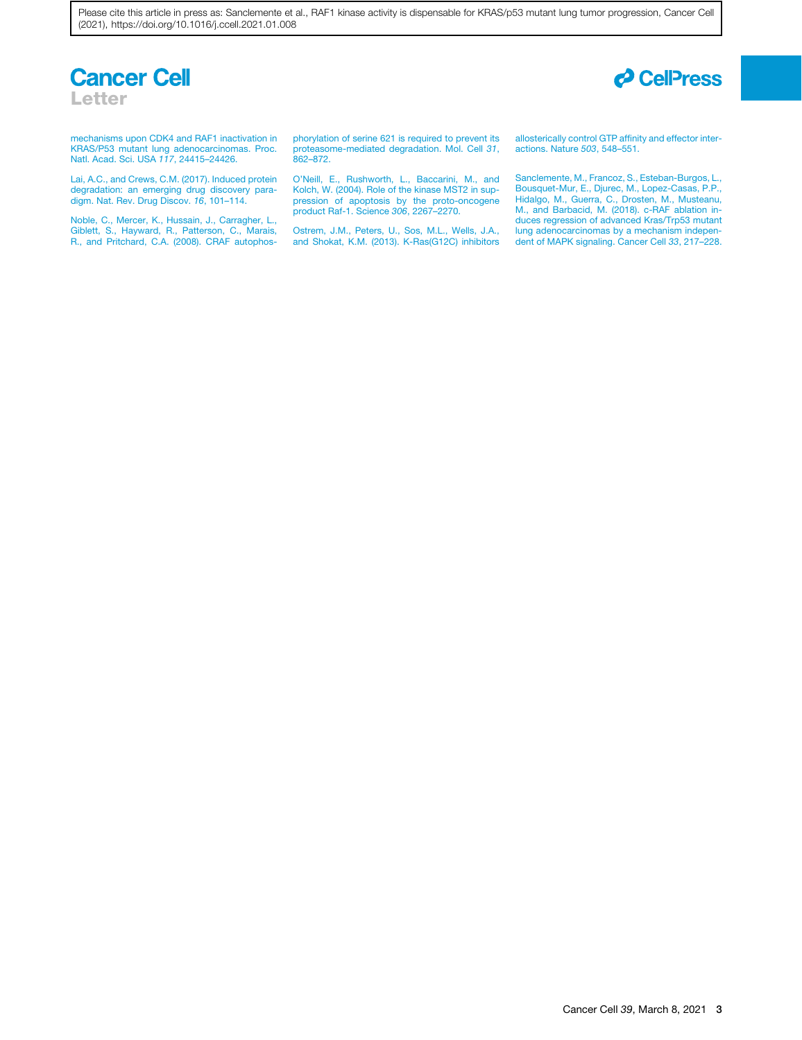Please cite this article in press as: Sanclemente et al., RAF1 kinase activity is dispensable for KRAS/p53 mutant lung tumor progression, Cancer Cell (2021), https://doi.org/10.1016/j.ccell.2021.01.008





[mechanisms upon CDK4 and RAF1 inactivation in](http://refhub.elsevier.com/S1535-6108(21)00052-0/sref5) [KRAS/P53 mutant lung adenocarcinomas. Proc.](http://refhub.elsevier.com/S1535-6108(21)00052-0/sref5) [Natl. Acad. Sci. USA](http://refhub.elsevier.com/S1535-6108(21)00052-0/sref5) *117*, 24415–24426.

<span id="page-2-4"></span>[Lai, A.C., and Crews, C.M. \(2017\). Induced protein](http://refhub.elsevier.com/S1535-6108(21)00052-0/sref6) [degradation: an emerging drug discovery para](http://refhub.elsevier.com/S1535-6108(21)00052-0/sref6)[digm. Nat. Rev. Drug Discov.](http://refhub.elsevier.com/S1535-6108(21)00052-0/sref6) *16*, 101–114.

<span id="page-2-2"></span>[Noble, C., Mercer, K., Hussain, J., Carragher, L.,](http://refhub.elsevier.com/S1535-6108(21)00052-0/sref7) [Giblett, S., Hayward, R., Patterson, C., Marais,](http://refhub.elsevier.com/S1535-6108(21)00052-0/sref7) [R., and Pritchard, C.A. \(2008\). CRAF autophos-](http://refhub.elsevier.com/S1535-6108(21)00052-0/sref7) [phorylation of serine 621 is required to prevent its](http://refhub.elsevier.com/S1535-6108(21)00052-0/sref7) [proteasome-mediated degradation. Mol. Cell](http://refhub.elsevier.com/S1535-6108(21)00052-0/sref7) *31*, [862–872.](http://refhub.elsevier.com/S1535-6108(21)00052-0/sref7)

<span id="page-2-3"></span>[O'Neill, E., Rushworth, L., Baccarini, M., and](http://refhub.elsevier.com/S1535-6108(21)00052-0/sref8) [Kolch, W. \(2004\). Role of the kinase MST2 in sup](http://refhub.elsevier.com/S1535-6108(21)00052-0/sref8)[pression of apoptosis by the proto-oncogene](http://refhub.elsevier.com/S1535-6108(21)00052-0/sref8) [product Raf-1. Science](http://refhub.elsevier.com/S1535-6108(21)00052-0/sref8) *306*, 2267–2270.

<span id="page-2-0"></span>[Ostrem, J.M., Peters, U., Sos, M.L., Wells, J.A.,](http://refhub.elsevier.com/S1535-6108(21)00052-0/sref9) [and Shokat, K.M. \(2013\). K-Ras\(G12C\) inhibitors](http://refhub.elsevier.com/S1535-6108(21)00052-0/sref9)

[allosterically control GTP affinity and effector inter](http://refhub.elsevier.com/S1535-6108(21)00052-0/sref9)[actions. Nature](http://refhub.elsevier.com/S1535-6108(21)00052-0/sref9) *503*, 548–551.

<span id="page-2-1"></span>[Sanclemente, M., Francoz, S., Esteban-Burgos, L.,](http://refhub.elsevier.com/S1535-6108(21)00052-0/sref10) [Bousquet-Mur, E., Djurec, M., Lopez-Casas, P.P.,](http://refhub.elsevier.com/S1535-6108(21)00052-0/sref10) [Hidalgo, M., Guerra, C., Drosten, M., Musteanu,](http://refhub.elsevier.com/S1535-6108(21)00052-0/sref10) [M., and Barbacid, M. \(2018\). c-RAF ablation in](http://refhub.elsevier.com/S1535-6108(21)00052-0/sref10)[duces regression of advanced Kras/Trp53 mutant](http://refhub.elsevier.com/S1535-6108(21)00052-0/sref10) [lung adenocarcinomas by a mechanism indepen](http://refhub.elsevier.com/S1535-6108(21)00052-0/sref10)[dent of MAPK signaling. Cancer Cell](http://refhub.elsevier.com/S1535-6108(21)00052-0/sref10) *33*, 217–228.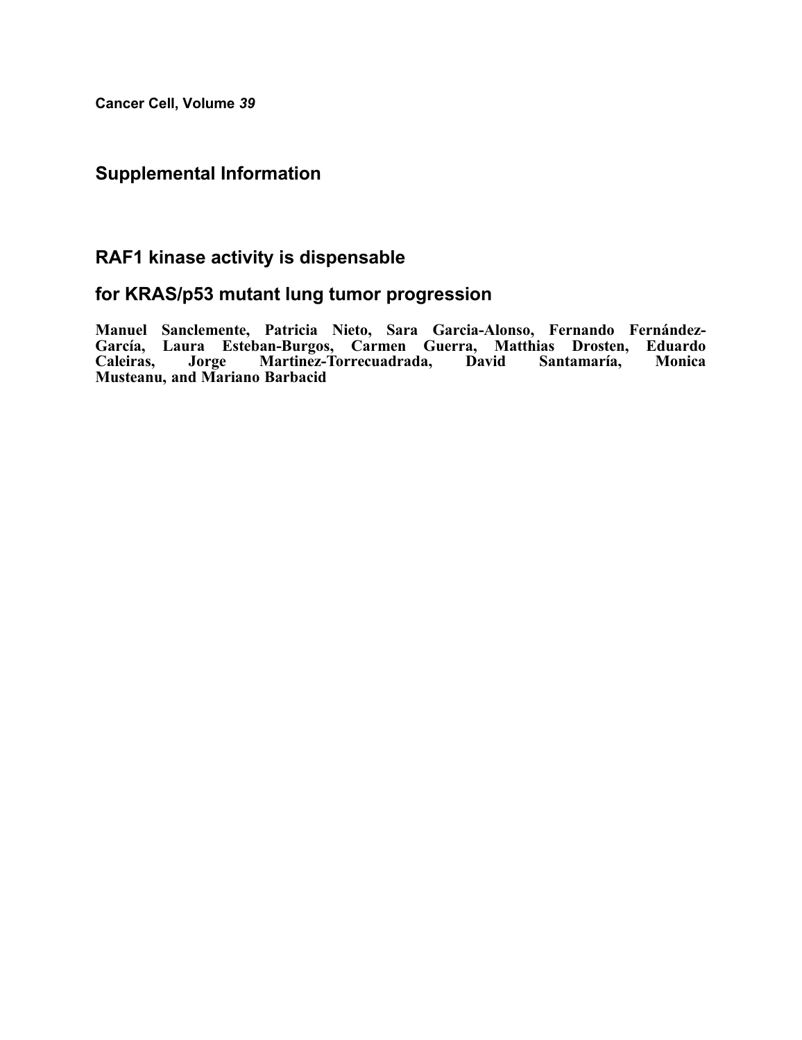Cancer Cell, Volume 39

### Supplemental Information

## RAF1 kinase activity is dispensable

### for KRAS/p53 mutant lung tumor progression

Manuel Sanclemente, Patricia Nieto, Sara Garcia-Alonso, Fernando Fernández-García, Laura Esteban-Burgos, Carmen Guerra, Matthias Drosten, Eduardo Caleiras, Jorge Martinez-Torrecuadrada, David Santamaría, Monica Musteanu, and Mariano Barbacid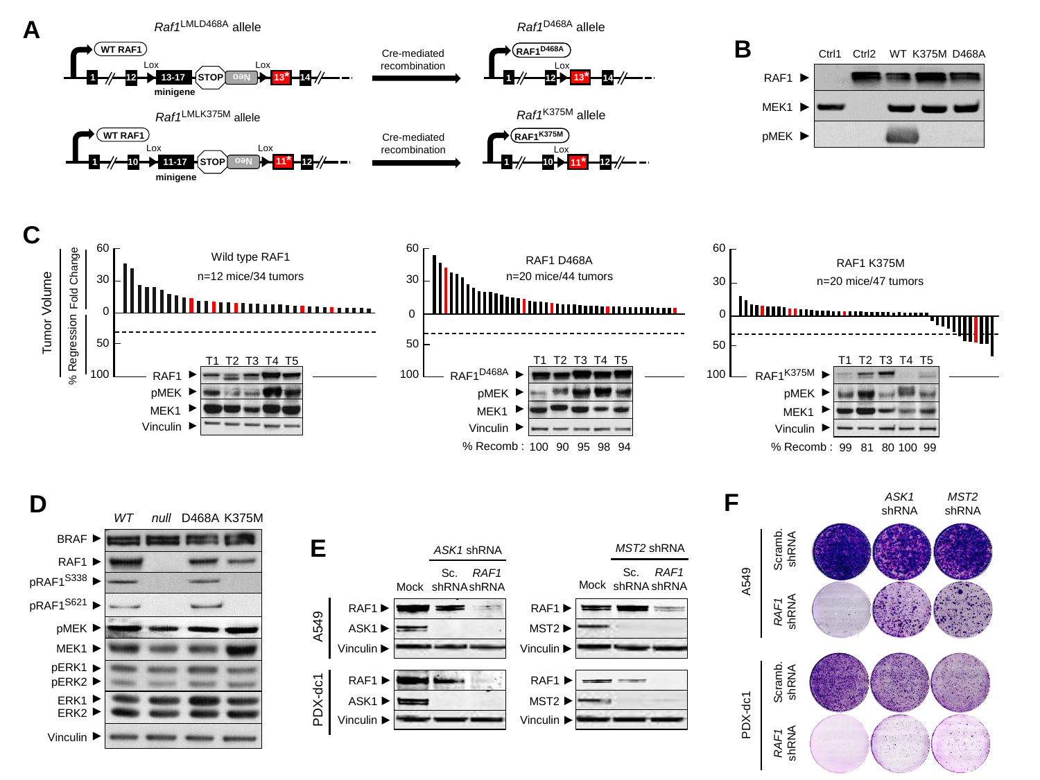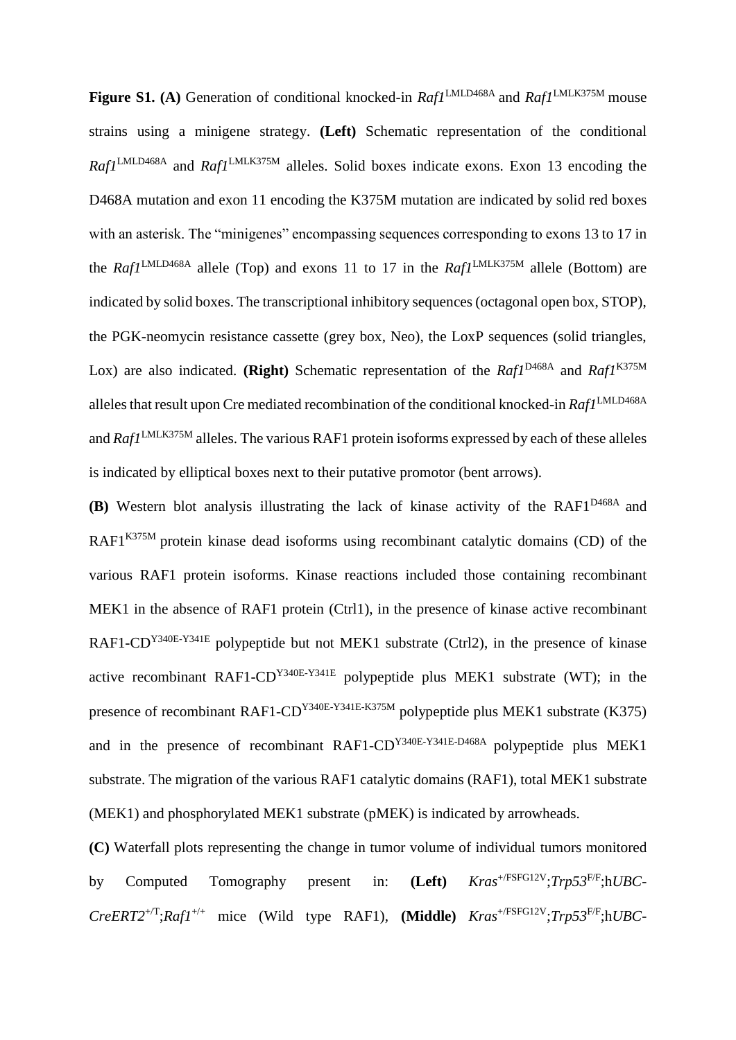Figure S1. (A) Generation of conditional knocked-in *Raf1*<sup>LMLD468A</sup> and *Raf1*<sup>LMLK375M</sup> mouse strains using a minigene strategy. **(Left)** Schematic representation of the conditional *Raf1*LMLD468A and *Raf1*LMLK375M alleles. Solid boxes indicate exons. Exon 13 encoding the D468A mutation and exon 11 encoding the K375M mutation are indicated by solid red boxes with an asterisk. The "minigenes" encompassing sequences corresponding to exons 13 to 17 in the *Raf1*<sup>LMLD468A</sup> allele (Top) and exons 11 to 17 in the *Raf1*<sup>LMLK375M</sup> allele (Bottom) are indicated by solid boxes. The transcriptional inhibitory sequences (octagonal open box, STOP), the PGK-neomycin resistance cassette (grey box, Neo), the LoxP sequences (solid triangles, Lox) are also indicated. **(Right)** Schematic representation of the *Raf1*<sup>D468A</sup> and *Raf1*<sup>K375M</sup> alleles that result upon Cre mediated recombination of the conditional knocked-in *Raf1*LMLD468A and *Raf1*LMLK375M alleles. The various RAF1 protein isoforms expressed by each of these alleles is indicated by elliptical boxes next to their putative promotor (bent arrows).

**(B)** Western blot analysis illustrating the lack of kinase activity of the RAF1D468A and RAF1 $K375M$  protein kinase dead isoforms using recombinant catalytic domains (CD) of the various RAF1 protein isoforms. Kinase reactions included those containing recombinant MEK1 in the absence of RAF1 protein (Ctrl1), in the presence of kinase active recombinant RAF1-CD<sup>Y340E-Y341E</sup> polypeptide but not MEK1 substrate (Ctrl2), in the presence of kinase active recombinant RAF1-CDY340E-Y341E polypeptide plus MEK1 substrate (WT); in the presence of recombinant RAF1-CDY340E-Y341E-K375M polypeptide plus MEK1 substrate (K375) and in the presence of recombinant RAF1-CDY340E-Y341E-D468A polypeptide plus MEK1 substrate. The migration of the various RAF1 catalytic domains (RAF1), total MEK1 substrate (MEK1) and phosphorylated MEK1 substrate (pMEK) is indicated by arrowheads.

**(C)** Waterfall plots representing the change in tumor volume of individual tumors monitored by Computed Tomography present in: **(Left)** *Kras*+/FSFG12V;*Trp53*F/F;h*UBC*- $CreERT2^{+/T}; Raf1^{+/+}$  mice (Wild type RAF1), **(Middle)**  $Kras^{+/FSFG12V}; Trp53^{F/F}; hUBC-$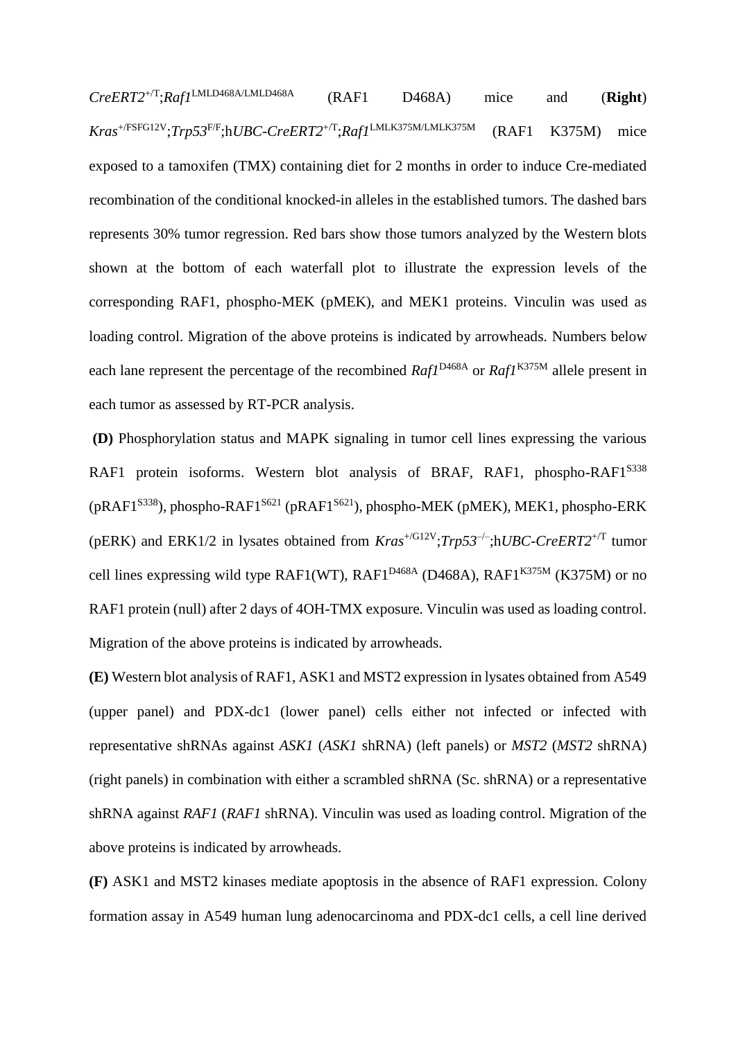*CreERT2*+/T;*Raf1*LMLD468A/LMLD468A (RAF1 D468A) mice and (**Right**) *Kras*+/FSFG12V;*Trp53*F/F;h*UBC*-*CreERT2*+/T;*Raf1*LMLK375M/LMLK375M (RAF1 K375M) mice exposed to a tamoxifen (TMX) containing diet for 2 months in order to induce Cre-mediated recombination of the conditional knocked-in alleles in the established tumors. The dashed bars represents 30% tumor regression. Red bars show those tumors analyzed by the Western blots shown at the bottom of each waterfall plot to illustrate the expression levels of the corresponding RAF1, phospho-MEK (pMEK), and MEK1 proteins. Vinculin was used as loading control. Migration of the above proteins is indicated by arrowheads. Numbers below each lane represent the percentage of the recombined *Raf1*<sup>D468A</sup> or *Raf1*<sup>K375M</sup> allele present in each tumor as assessed by RT-PCR analysis.

**(D)** Phosphorylation status and MAPK signaling in tumor cell lines expressing the various RAF1 protein isoforms. Western blot analysis of BRAF, RAF1, phospho-RAF1<sup>S338</sup> (pRAF1S338), phospho-RAF1S621 (pRAF1S621), phospho-MEK (pMEK), MEK1, phospho-ERK (pERK) and ERK1/2 in lysates obtained from  $Kras^{+/G12V}$ ; $Trp53^{-/-}$ ;h*UBC-CreERT2*<sup>+/T</sup> tumor cell lines expressing wild type RAF1(WT), RAF1<sup>D468A</sup> (D468A), RAF1<sup>K375M</sup> (K375M) or no RAF1 protein (null) after 2 days of 4OH-TMX exposure. Vinculin was used as loading control. Migration of the above proteins is indicated by arrowheads.

**(E)** Western blot analysis of RAF1, ASK1 and MST2 expression in lysates obtained from A549 (upper panel) and PDX-dc1 (lower panel) cells either not infected or infected with representative shRNAs against *ASK1* (*ASK1* shRNA) (left panels) or *MST2* (*MST2* shRNA) (right panels) in combination with either a scrambled shRNA (Sc. shRNA) or a representative shRNA against *RAF1* (*RAF1* shRNA). Vinculin was used as loading control. Migration of the above proteins is indicated by arrowheads.

**(F)** ASK1 and MST2 kinases mediate apoptosis in the absence of RAF1 expression. Colony formation assay in A549 human lung adenocarcinoma and PDX-dc1 cells, a cell line derived